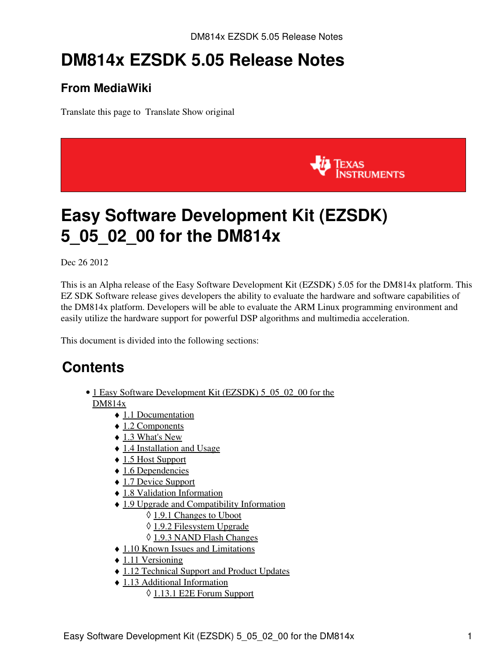# **DM814x EZSDK 5.05 Release Notes**

### **From MediaWiki**

Translate this page to Translate Show original



# <span id="page-0-0"></span>**Easy Software Development Kit (EZSDK) 5\_05\_02\_00 for the DM814x**

Dec 26 2012

This is an Alpha release of the Easy Software Development Kit (EZSDK) 5.05 for the DM814x platform. This EZ SDK Software release gives developers the ability to evaluate the hardware and software capabilities of the DM814x platform. Developers will be able to evaluate the ARM Linux programming environment and easily utilize the hardware support for powerful DSP algorithms and multimedia acceleration.

This document is divided into the following sections:

## **Contents**

- 1 Easy Software Development Kit (EZSDK) 5 05 02 00 for the [DM814x](#page-0-0)
	- ♦ [1.1 Documentation](#page-1-0)
	- ◆ [1.2 Components](#page-1-1)
	- $\triangleleft$  [1.3 What's New](#page-2-0)
	- ♦ [1.4 Installation and Usage](#page-3-0)
	- ♦ [1.5 Host Support](#page-3-1)
	- $\triangle$  [1.6 Dependencies](#page-3-2)
	- ♦ [1.7 Device Support](#page-3-3)
	- ♦ [1.8 Validation Information](#page-3-4)
	- [1.9 Upgrade and Compatibility Information](#page-3-5)
		- ◊ [1.9.1 Changes to Uboot](#page-3-6)
		- ◊ [1.9.2 Filesystem Upgrade](#page-3-7)
		- ◊ [1.9.3 NAND Flash Changes](#page-4-0)
	- ♦ [1.10 Known Issues and Limitations](#page-4-1)
	- $\triangle$  [1.11 Versioning](#page-6-0)
	- ♦ [1.12 Technical Support and Product Updates](#page-6-1)
	- [1.13 Additional Information](#page-7-0) ♦
		- ◊ [1.13.1 E2E Forum Support](#page-7-1)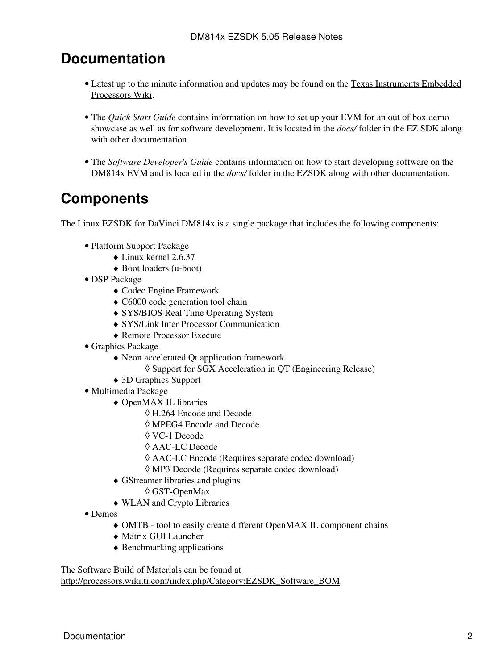### <span id="page-1-0"></span>**Documentation**

- Latest up to the minute information and updates may be found on the [Texas Instruments Embedded](http://processors.wiki.ti.com/index.php/Main_Page) [Processors Wiki.](http://processors.wiki.ti.com/index.php/Main_Page)
- The *Quick Start Guide* contains information on how to set up your EVM for an out of box demo showcase as well as for software development. It is located in the *docs/* folder in the EZ SDK along with other documentation.
- The *Software Developer's Guide* contains information on how to start developing software on the DM814x EVM and is located in the *docs/* folder in the EZSDK along with other documentation.

### <span id="page-1-1"></span>**Components**

The Linux EZSDK for DaVinci DM814x is a single package that includes the following components:

- Platform Support Package
	- ♦ Linux kernel 2.6.37
	- ♦ Boot loaders (u-boot)
- DSP Package
	- ♦ Codec Engine Framework
	- ♦ C6000 code generation tool chain
	- ♦ SYS/BIOS Real Time Operating System
	- ♦ SYS/Link Inter Processor Communication
	- ♦ Remote Processor Execute
- Graphics Package
	- Neon accelerated Qt application framework ♦
		- ◊ Support for SGX Acceleration in QT (Engineering Release)
	- ♦ 3D Graphics Support
- Multimedia Package
	- OpenMAX IL libraries ♦
		- ◊ H.264 Encode and Decode
		- ◊ MPEG4 Encode and Decode
		- ◊ VC-1 Decode
		- ◊ AAC-LC Decode
		- ◊ AAC-LC Encode (Requires separate codec download)
		- ◊ MP3 Decode (Requires separate codec download)
	- GStreamer libraries and plugins ♦
		- ◊ GST-OpenMax
	- ♦ WLAN and Crypto Libraries
- Demos
	- ♦ OMTB tool to easily create different OpenMAX IL component chains
	- ♦ Matrix GUI Launcher
	- ♦ Benchmarking applications

The Software Build of Materials can be found at

[http://processors.wiki.ti.com/index.php/Category:EZSDK\\_Software\\_BOM.](http://processors.wiki.ti.com/index.php/Category:EZSDK_Software_BOM)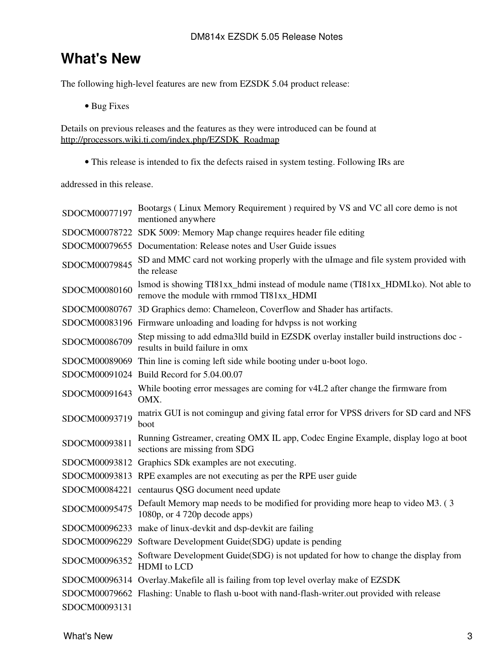### <span id="page-2-0"></span>**What's New**

The following high-level features are new from EZSDK 5.04 product release:

• Bug Fixes

Details on previous releases and the features as they were introduced can be found at [http://processors.wiki.ti.com/index.php/EZSDK\\_Roadmap](http://processors.wiki.ti.com/index.php/EZSDK_Roadmap)

• This release is intended to fix the defects raised in system testing. Following IRs are

addressed in this release.

| SDOCM00077197 | Bootargs (Linux Memory Requirement) required by VS and VC all core demo is not<br>mentioned anywhere                          |
|---------------|-------------------------------------------------------------------------------------------------------------------------------|
|               | SDOCM00078722 SDK 5009: Memory Map change requires header file editing                                                        |
|               | SDOCM00079655 Documentation: Release notes and User Guide issues                                                              |
| SDOCM00079845 | SD and MMC card not working properly with the uImage and file system provided with<br>the release                             |
| SDOCM00080160 | lsmod is showing TI81xx_hdmi instead of module name (TI81xx_HDMI.ko). Not able to<br>remove the module with rmmod TI81xx_HDMI |
|               | SDOCM00080767 3D Graphics demo: Chameleon, Coverflow and Shader has artifacts.                                                |
|               | SDOCM00083196 Firmware unloading and loading for hdvpss is not working                                                        |
| SDOCM00086709 | Step missing to add edma3lld build in EZSDK overlay installer build instructions doc-<br>results in build failure in omx      |
|               | SDOCM00089069 Thin line is coming left side while booting under u-boot logo.                                                  |
|               | SDOCM00091024 Build Record for 5.04.00.07                                                                                     |
| SDOCM00091643 | While booting error messages are coming for v4L2 after change the firmware from<br>OMX.                                       |
| SDOCM00093719 | matrix GUI is not comingup and giving fatal error for VPSS drivers for SD card and NFS<br>boot                                |
|               |                                                                                                                               |
| SDOCM00093811 | Running Gstreamer, creating OMX IL app, Codec Engine Example, display logo at boot<br>sections are missing from SDG           |
|               | SDOCM00093812 Graphics SDk examples are not executing.                                                                        |
|               | SDOCM00093813 RPE examples are not executing as per the RPE user guide                                                        |
|               | SDOCM00084221 centaurus QSG document need update                                                                              |
| SDOCM00095475 | Default Memory map needs to be modified for providing more heap to video M3. (3)<br>1080p, or 4 720p decode apps)             |
|               | SDOCM00096233 make of linux-devkit and dsp-devkit are failing                                                                 |
|               | SDOCM00096229 Software Development Guide(SDG) update is pending                                                               |
| SDOCM00096352 | Software Development Guide(SDG) is not updated for how to change the display from<br><b>HDMI</b> to LCD                       |
|               | SDOCM00096314 Overlay. Makefile all is failing from top level overlay make of EZSDK                                           |
|               | SDOCM00079662 Flashing: Unable to flash u-boot with nand-flash-writer.out provided with release                               |
| SDOCM00093131 |                                                                                                                               |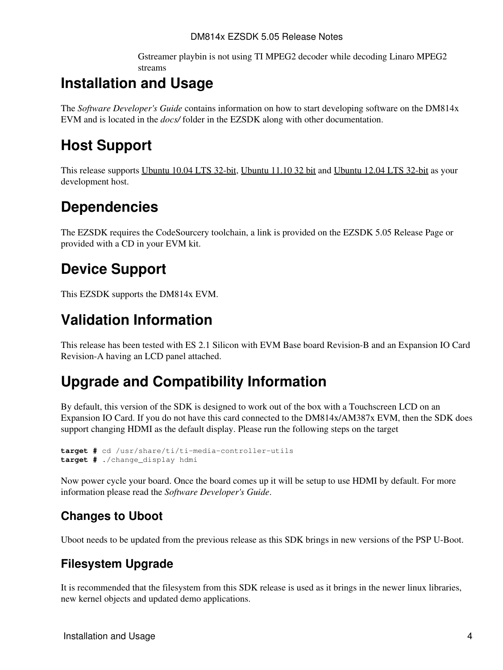DM814x EZSDK 5.05 Release Notes

Gstreamer playbin is not using TI MPEG2 decoder while decoding Linaro MPEG2 streams

## <span id="page-3-0"></span>**Installation and Usage**

The *Software Developer's Guide* contains information on how to start developing software on the DM814x EVM and is located in the *docs/* folder in the EZSDK along with other documentation.

### <span id="page-3-1"></span>**Host Support**

This release supports [Ubuntu 10.04 LTS 32-bit,](http://www.ubuntu.com) [Ubuntu 11.10 32 bit](http://www.ubuntu.com) and [Ubuntu 12.04 LTS 32-bit](http://www.ubuntu.com) as your development host.

## <span id="page-3-2"></span>**Dependencies**

The EZSDK requires the CodeSourcery toolchain, a link is provided on the EZSDK 5.05 Release Page or provided with a CD in your EVM kit.

### <span id="page-3-3"></span>**Device Support**

This EZSDK supports the DM814x EVM.

### <span id="page-3-4"></span>**Validation Information**

This release has been tested with ES 2.1 Silicon with EVM Base board Revision-B and an Expansion IO Card Revision-A having an LCD panel attached.

### <span id="page-3-5"></span>**Upgrade and Compatibility Information**

By default, this version of the SDK is designed to work out of the box with a Touchscreen LCD on an Expansion IO Card. If you do not have this card connected to the DM814x/AM387x EVM, then the SDK does support changing HDMI as the default display. Please run the following steps on the target

```
target # cd /usr/share/ti/ti-media-controller-utils
target # ./change_display hdmi
```
Now power cycle your board. Once the board comes up it will be setup to use HDMI by default. For more information please read the *Software Developer's Guide*.

### <span id="page-3-6"></span>**Changes to Uboot**

Uboot needs to be updated from the previous release as this SDK brings in new versions of the PSP U-Boot.

### <span id="page-3-7"></span>**Filesystem Upgrade**

It is recommended that the filesystem from this SDK release is used as it brings in the newer linux libraries, new kernel objects and updated demo applications.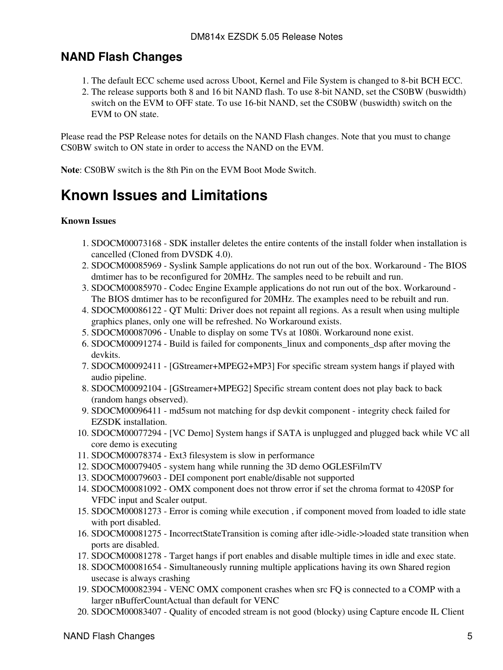### <span id="page-4-0"></span>**NAND Flash Changes**

- 1. The default ECC scheme used across Uboot, Kernel and File System is changed to 8-bit BCH ECC.
- 2. The release supports both 8 and 16 bit NAND flash. To use 8-bit NAND, set the CS0BW (buswidth) switch on the EVM to OFF state. To use 16-bit NAND, set the CS0BW (buswidth) switch on the EVM to ON state.

Please read the PSP Release notes for details on the NAND Flash changes. Note that you must to change CS0BW switch to ON state in order to access the NAND on the EVM.

**Note**: CS0BW switch is the 8th Pin on the EVM Boot Mode Switch.

### <span id="page-4-1"></span>**Known Issues and Limitations**

#### **Known Issues**

- 1. SDOCM00073168 SDK installer deletes the entire contents of the install folder when installation is cancelled (Cloned from DVSDK 4.0).
- 2. SDOCM00085969 Syslink Sample applications do not run out of the box. Workaround The BIOS dmtimer has to be reconfigured for 20MHz. The samples need to be rebuilt and run.
- 3. SDOCM00085970 Codec Engine Example applications do not run out of the box. Workaround -The BIOS dmtimer has to be reconfigured for 20MHz. The examples need to be rebuilt and run.
- 4. SDOCM00086122 QT Multi: Driver does not repaint all regions. As a result when using multiple graphics planes, only one will be refreshed. No Workaround exists.
- 5. SDOCM00087096 Unable to display on some TVs at 1080i. Workaround none exist.
- 6. SDOCM00091274 Build is failed for components\_linux and components\_dsp after moving the devkits.
- 7. SDOCM00092411 [GStreamer+MPEG2+MP3] For specific stream system hangs if played with audio pipeline.
- 8. SDOCM00092104 [GStreamer+MPEG2] Specific stream content does not play back to back (random hangs observed).
- 9. SDOCM00096411 md5sum not matching for dsp devkit component integrity check failed for EZSDK installation.
- 10. SDOCM00077294 [VC Demo] System hangs if SATA is unplugged and plugged back while VC all core demo is executing
- 11. SDOCM00078374 Ext3 filesystem is slow in performance
- 12. SDOCM00079405 system hang while running the 3D demo OGLESFilmTV
- 13. SDOCM00079603 DEI component port enable/disable not supported
- 14. SDOCM00081092 OMX component does not throw error if set the chroma format to 420SP for VFDC input and Scaler output.
- 15. SDOCM00081273 Error is coming while execution, if component moved from loaded to idle state with port disabled.
- 16. SDOCM00081275 IncorrectStateTransition is coming after idle->idle->loaded state transition when ports are disabled.
- 17. SDOCM00081278 Target hangs if port enables and disable multiple times in idle and exec state.
- 18. SDOCM00081654 Simultaneously running multiple applications having its own Shared region usecase is always crashing
- 19. SDOCM00082394 VENC OMX component crashes when src FQ is connected to a COMP with a larger nBufferCountActual than default for VENC
- 20. SDOCM00083407 Quality of encoded stream is not good (blocky) using Capture encode IL Client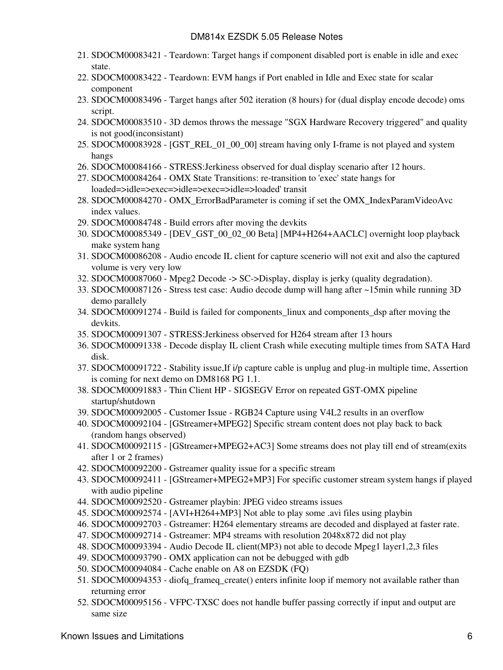- 21. SDOCM00083421 Teardown: Target hangs if component disabled port is enable in idle and exec state.
- 22. SDOCM00083422 Teardown: EVM hangs if Port enabled in Idle and Exec state for scalar component
- 23. SDOCM00083496 Target hangs after 502 iteration (8 hours) for (dual display encode decode) oms script.
- 24. SDOCM00083510 3D demos throws the message "SGX Hardware Recovery triggered" and quality is not good(inconsistant)
- 25. SDOCM00083928 [GST\_REL\_01\_00\_00] stream having only I-frame is not played and system hangs
- 26. SDOCM00084166 STRESS:Jerkiness observed for dual display scenario after 12 hours.
- 27. SDOCM00084264 OMX State Transitions: re-transition to 'exec' state hangs for loaded=>idle=>exec=>idle=>exec=>idle=>loaded' transit
- 28. SDOCM00084270 OMX\_ErrorBadParameter is coming if set the OMX\_IndexParamVideoAvc index values.
- 29. SDOCM00084748 Build errors after moving the devkits
- SDOCM00085349 [DEV\_GST\_00\_02\_00 Beta] [MP4+H264+AACLC] overnight loop playback 30. make system hang
- SDOCM00086208 Audio encode IL client for capture scenerio will not exit and also the captured 31. volume is very very low
- 32. SDOCM00087060 Mpeg2 Decode -> SC->Display, display is jerky (quality degradation).
- 33. SDOCM00087126 Stress test case: Audio decode dump will hang after ~15min while running 3D demo parallely
- SDOCM00091274 Build is failed for components\_linux and components\_dsp after moving the 34. devkits.
- 35. SDOCM00091307 STRESS:Jerkiness observed for H264 stream after 13 hours
- SDOCM00091338 Decode display IL client Crash while executing multiple times from SATA Hard 36. disk.
- 37. SDOCM00091722 Stability issue, If i/p capture cable is unplug and plug-in multiple time, Assertion is coming for next demo on DM8168 PG 1.1.
- SDOCM00091883 Thin Client HP SIGSEGV Error on repeated GST-OMX pipeline 38. startup/shutdown
- 39. SDOCM00092005 Customer Issue RGB24 Capture using V4L2 results in an overflow
- 40. SDOCM00092104 [GStreamer+MPEG2] Specific stream content does not play back to back (random hangs observed)
- 41. SDOCM00092115 [GStreamer+MPEG2+AC3] Some streams does not play till end of stream(exits after 1 or 2 frames)
- 42. SDOCM00092200 Gstreamer quality issue for a specific stream
- SDOCM00092411 [GStreamer+MPEG2+MP3] For specific customer stream system hangs if played 43. with audio pipeline
- 44. SDOCM00092520 Gstreamer playbin: JPEG video streams issues
- 45. SDOCM00092574 [AVI+H264+MP3] Not able to play some .avi files using playbin
- 46. SDOCM00092703 Gstreamer: H264 elementary streams are decoded and displayed at faster rate.
- 47. SDOCM00092714 Gstreamer: MP4 streams with resolution 2048x872 did not play
- 48. SDOCM00093394 Audio Decode IL client(MP3) not able to decode Mpeg1 layer1,2,3 files
- 49. SDOCM00093790 OMX application can not be debugged with gdb
- 50. SDOCM00094084 Cache enable on A8 on EZSDK (FQ)
- SDOCM00094353 diofq\_frameq\_create() enters infinite loop if memory not available rather than 51. returning error
- 52. SDOCM00095156 VFPC-TXSC does not handle buffer passing correctly if input and output are same size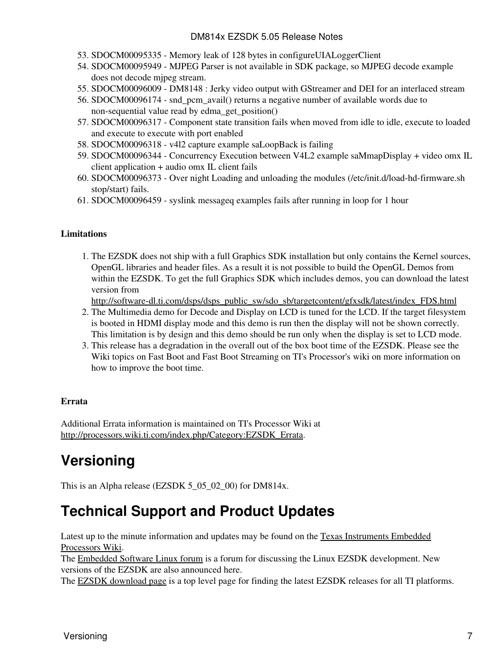#### DM814x EZSDK 5.05 Release Notes

- 53. SDOCM00095335 Memory leak of 128 bytes in configureUIALoggerClient
- 54. SDOCM00095949 MJPEG Parser is not available in SDK package, so MJPEG decode example does not decode mjpeg stream.
- 55. SDOCM00096009 DM8148 : Jerky video output with GStreamer and DEI for an interlaced stream
- 56. SDOCM00096174 snd\_pcm\_avail() returns a negative number of available words due to non-sequential value read by edma\_get\_position()
- 57. SDOCM00096317 Component state transition fails when moved from idle to idle, execute to loaded and execute to execute with port enabled
- 58. SDOCM00096318 v4l2 capture example saLoopBack is failing
- 59. SDOCM00096344 Concurrency Execution between V4L2 example saMmapDisplay + video omx IL client application + audio omx IL client fails
- 60. SDOCM00096373 Over night Loading and unloading the modules (/etc/init.d/load-hd-firmware.sh stop/start) fails.
- 61. SDOCM00096459 syslink messageq examples fails after running in loop for 1 hour

#### **Limitations**

1. The EZSDK does not ship with a full Graphics SDK installation but only contains the Kernel sources, OpenGL libraries and header files. As a result it is not possible to build the OpenGL Demos from within the EZSDK. To get the full Graphics SDK which includes demos, you can download the latest version from

[http://software-dl.ti.com/dsps/dsps\\_public\\_sw/sdo\\_sb/targetcontent/gfxsdk/latest/index\\_FDS.html](http://software-dl.ti.com/dsps/dsps_public_sw/sdo_sb/targetcontent/gfxsdk/latest/index_FDS.html)

- 2. The Multimedia demo for Decode and Display on LCD is tuned for the LCD. If the target filesystem is booted in HDMI display mode and this demo is run then the display will not be shown correctly. This limitation is by design and this demo should be run only when the display is set to LCD mode.
- 3. This release has a degradation in the overall out of the box boot time of the EZSDK. Please see the Wiki topics on Fast Boot and Fast Boot Streaming on TI's Processor's wiki on more information on how to improve the boot time.

#### **Errata**

Additional Errata information is maintained on TI's Processor Wiki at [http://processors.wiki.ti.com/index.php/Category:EZSDK\\_Errata.](http://processors.wiki.ti.com/index.php/Category:EZSDK_Errata)

## <span id="page-6-0"></span>**Versioning**

This is an Alpha release (EZSDK 5\_05\_02\_00) for DM814x.

### <span id="page-6-1"></span>**Technical Support and Product Updates**

Latest up to the minute information and updates may be found on the [Texas Instruments Embedded](http://processors.wiki.ti.com/index.php/Main_Page) [Processors Wiki.](http://processors.wiki.ti.com/index.php/Main_Page)

The [Embedded Software Linux forum](http://e2e.ti.com/support/embedded/f/354.aspx) is a forum for discussing the Linux EZSDK development. New versions of the EZSDK are also announced here.

The **EZSDK** download page is a top level page for finding the latest **EZSDK** releases for all TI platforms.